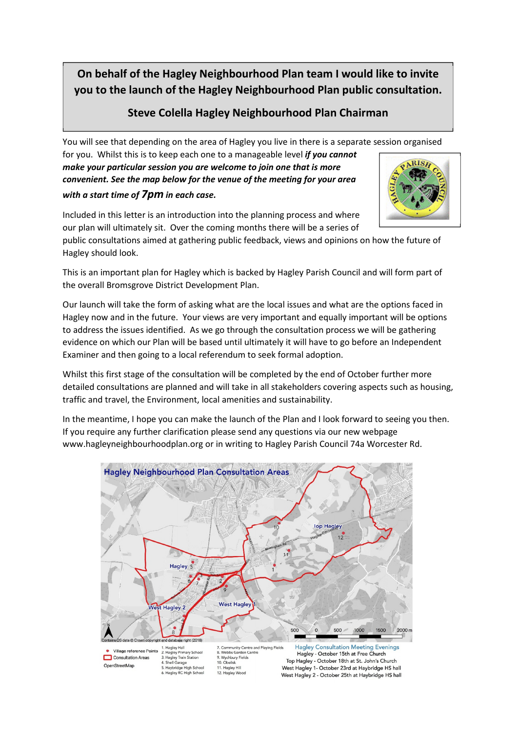**On behalf of the Hagley Neighbourhood Plan team I would like to invite you to the launch of the Hagley Neighbourhood Plan public consultation.** 

# **Steve Colella Hagley Neighbourhood Plan Chairman**

You will see that depending on the area of Hagley you live in there is a separate session organised

for you. Whilst this is to keep each one to a manageable level *if you cannot make your particular session you are welcome to join one that is more convenient. See the map below for the venue of the meeting for your area with a start time of 7pm in each case.* 



Included in this letter is an introduction into the planning process and where our plan will ultimately sit. Over the coming months there will be a series of

public consultations aimed at gathering public feedback, views and opinions on how the future of Hagley should look.

This is an important plan for Hagley which is backed by Hagley Parish Council and will form part of the overall Bromsgrove District Development Plan.

Our launch will take the form of asking what are the local issues and what are the options faced in Hagley now and in the future. Your views are very important and equally important will be options to address the issues identified. As we go through the consultation process we will be gathering evidence on which our Plan will be based until ultimately it will have to go before an Independent Examiner and then going to a local referendum to seek formal adoption.

Whilst this first stage of the consultation will be completed by the end of October further more detailed consultations are planned and will take in all stakeholders covering aspects such as housing, traffic and travel, the Environment, local amenities and sustainability.

In the meantime, I hope you can make the launch of the Plan and I look forward to seeing you then. If you require any further clarification please send any questions via our new webpage www.hagleyneighbourhoodplan.org or in writing to Hagley Parish Council 74a Worcester Rd.